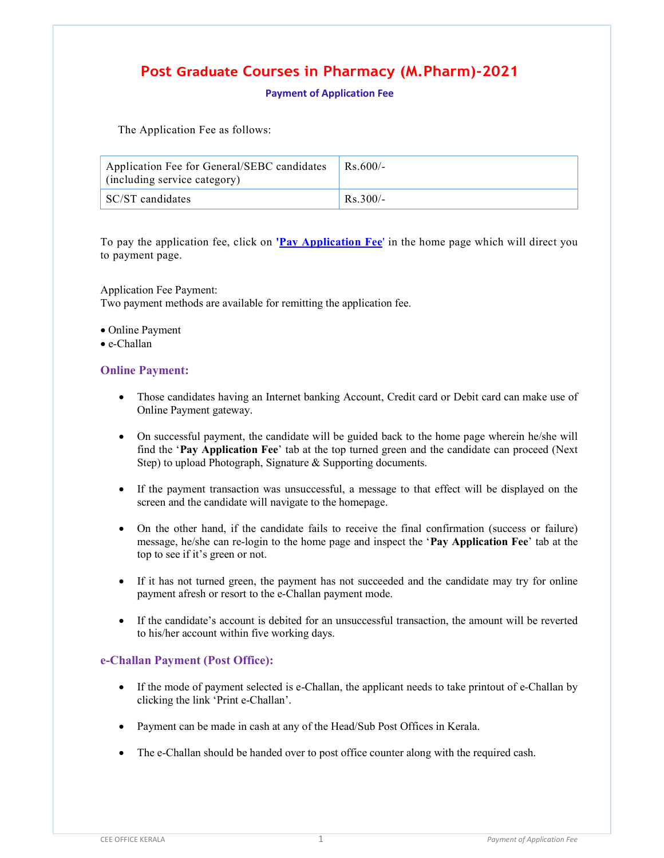## Post Graduate Courses in Pharmacy (M.Pharm)-2021

Payment of Application Fee

The Application Fee as follows:

| Application Fee for General/SEBC candidates<br>(including service category) | $Rs.600/-$ |
|-----------------------------------------------------------------------------|------------|
| SC/ST candidates                                                            | $Rs.300/-$ |

To pay the application fee, click on 'Pay Application Fee' in the home page which will direct you to payment page.

Application Fee Payment: Two payment methods are available for remitting the application fee.

- Online Payment
- e-Challan

## Online Payment:

- Those candidates having an Internet banking Account, Credit card or Debit card can make use of Online Payment gateway.
- On successful payment, the candidate will be guided back to the home page wherein he/she will find the 'Pay Application Fee' tab at the top turned green and the candidate can proceed (Next Step) to upload Photograph, Signature & Supporting documents.
- If the payment transaction was unsuccessful, a message to that effect will be displayed on the screen and the candidate will navigate to the homepage.
- On the other hand, if the candidate fails to receive the final confirmation (success or failure) message, he/she can re-login to the home page and inspect the 'Pay Application Fee' tab at the top to see if it's green or not.
- If it has not turned green, the payment has not succeeded and the candidate may try for online payment afresh or resort to the e-Challan payment mode.
- If the candidate's account is debited for an unsuccessful transaction, the amount will be reverted to his/her account within five working days.

## e-Challan Payment (Post Office):

- If the mode of payment selected is e-Challan, the applicant needs to take printout of e-Challan by clicking the link 'Print e-Challan'.
- Payment can be made in cash at any of the Head/Sub Post Offices in Kerala.
- The e-Challan should be handed over to post office counter along with the required cash.